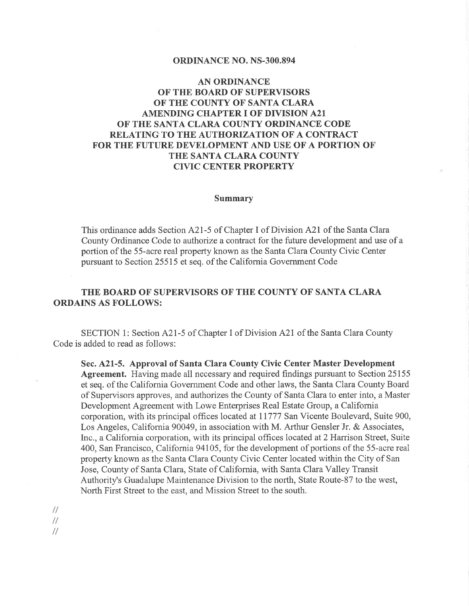## ORDINANCE NO. NS-300.894

## AN ORDINANCE OF THE BOARD OF SUPERVISORS OF THE COUNTY OF SANTA CLARA AMENDING CHAPTER I OF DIVISION A21 OF THE SANTA CLARA COUNTY ORDINANCE CODE RELATING TO THE AUTHORIZATION OF A CONTRACT FOR THE FUTURE DEVELOPMENT AND USE OF A PORTION OF THE SANTA CLARA COUNTY CIVIC CENTER PROPERTY

## Summary

This ordinance adds Section A21-5 of Chapter I of Division A2l of the Santa Clara County Ordinance Code to authorize a contract for the future development and use of a portion of the 55-acre real property known as the Santa Clara County Civic Center pursuant to Section 25515 et seq. of the California Government Code

## THE BOARD OF SUPERVISORS OF THE COUNTY OF SANTA CLARA ORDAINS AS FOLLOWS:

SECTION 1: Section A2I-5 of Chapter I of Division A2I of the Santa Clara County Code is added to read as follows:

Sec. 42L-5. Approval of Santa Clara County Civic Center Master Development Agreement. Having made all necessary and required findings pursuant to Section 25155 et seq. of the California Government Code and other laws, the Santa Clara County Board of Supervisors approves, and authorizes the County of Santa Clara to enter into, a Master Development Agreement with Lowe Enterprises Real Estate Group, a California corporation, with its principal offices located at II777 San Vicente Boulevard, Suite 900, Los Angeles, California 90049, in association with M. Arthur Gensler Jr. & Associates, Inc., a Califomia corporation, with its principal offices located at 2 Harrison Street, Suite 400, San Francisco, California 94105, for the development of portions of the 55-acre real property known as the Santa Clara County Civic Center located within the City of San Jose, County of Santa Clara, State of California, with Santa Clara Valley Transit Authority's Guadalupe Maintenance Division to the north, State Route-87 to the west, North First Street to the east, and Mission Street to the south.

 $\frac{1}{2}$ 

 $\frac{1}{2}$ 

 $\frac{1}{2}$